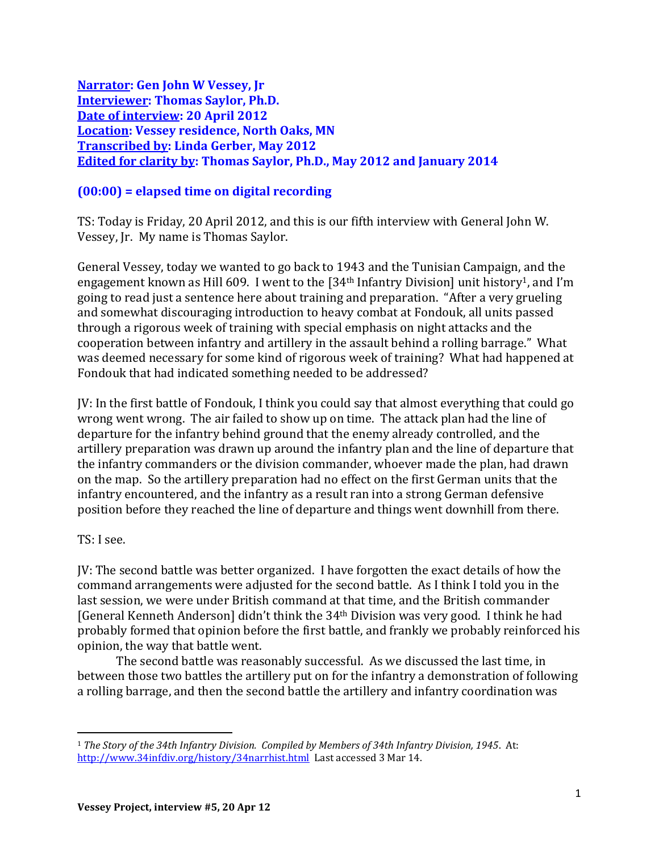**Narrator: Gen John W Vessey, Jr Interviewer: Thomas Saylor, Ph.D. Date of interview: 20 April 2012 Location: Vessey residence, North Oaks, MN Transcribed by: Linda Gerber, May 2012 Edited for clarity by: Thomas Saylor, Ph.D., May 2012 and January 2014**

## **(00:00) = elapsed time on digital recording**

TS: Today is Friday, 20 April 2012, and this is our fifth interview with General John W. Vessey, Jr. My name is Thomas Saylor.

General Vessey, today we wanted to go back to 1943 and the Tunisian Campaign, and the engagement known as Hill 609. I went to the  $[34<sup>th</sup>$  Infantry Division] unit history<sup>1</sup>, and I'm going to read just a sentence here about training and preparation. "After a very grueling and somewhat discouraging introduction to heavy combat at Fondouk, all units passed through a rigorous week of training with special emphasis on night attacks and the cooperation between infantry and artillery in the assault behind a rolling barrage." What was deemed necessary for some kind of rigorous week of training? What had happened at Fondouk that had indicated something needed to be addressed?

JV: In the first battle of Fondouk, I think you could say that almost everything that could go wrong went wrong. The air failed to show up on time. The attack plan had the line of departure for the infantry behind ground that the enemy already controlled, and the artillery preparation was drawn up around the infantry plan and the line of departure that the infantry commanders or the division commander, whoever made the plan, had drawn on the map. So the artillery preparation had no effect on the first German units that the infantry encountered, and the infantry as a result ran into a strong German defensive position before they reached the line of departure and things went downhill from there.

## TS: I see.

 $\overline{a}$ 

JV: The second battle was better organized. I have forgotten the exact details of how the command arrangements were adjusted for the second battle. As I think I told you in the last session, we were under British command at that time, and the British commander [General Kenneth Anderson] didn't think the 34th Division was very good. I think he had probably formed that opinion before the first battle, and frankly we probably reinforced his opinion, the way that battle went.

The second battle was reasonably successful. As we discussed the last time, in between those two battles the artillery put on for the infantry a demonstration of following a rolling barrage, and then the second battle the artillery and infantry coordination was

<sup>1</sup> *The Story of the 34th Infantry Division. Compiled by Members of 34th Infantry Division, 1945*. At: <http://www.34infdiv.org/history/34narrhist.html>Last accessed 3 Mar 14.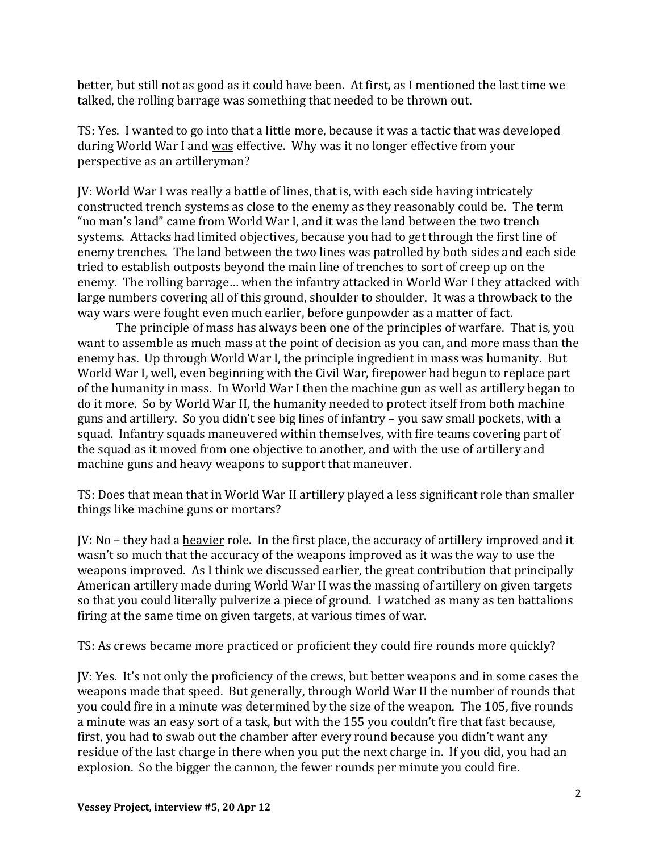better, but still not as good as it could have been. At first, as I mentioned the last time we talked, the rolling barrage was something that needed to be thrown out.

TS: Yes. I wanted to go into that a little more, because it was a tactic that was developed during World War I and was effective. Why was it no longer effective from your perspective as an artilleryman?

JV: World War I was really a battle of lines, that is, with each side having intricately constructed trench systems as close to the enemy as they reasonably could be. The term "no man's land" came from World War I, and it was the land between the two trench systems. Attacks had limited objectives, because you had to get through the first line of enemy trenches. The land between the two lines was patrolled by both sides and each side tried to establish outposts beyond the main line of trenches to sort of creep up on the enemy. The rolling barrage… when the infantry attacked in World War I they attacked with large numbers covering all of this ground, shoulder to shoulder. It was a throwback to the way wars were fought even much earlier, before gunpowder as a matter of fact.

The principle of mass has always been one of the principles of warfare. That is, you want to assemble as much mass at the point of decision as you can, and more mass than the enemy has. Up through World War I, the principle ingredient in mass was humanity. But World War I, well, even beginning with the Civil War, firepower had begun to replace part of the humanity in mass. In World War I then the machine gun as well as artillery began to do it more. So by World War II, the humanity needed to protect itself from both machine guns and artillery. So you didn't see big lines of infantry – you saw small pockets, with a squad. Infantry squads maneuvered within themselves, with fire teams covering part of the squad as it moved from one objective to another, and with the use of artillery and machine guns and heavy weapons to support that maneuver.

TS: Does that mean that in World War II artillery played a less significant role than smaller things like machine guns or mortars?

JV: No – they had a heavier role. In the first place, the accuracy of artillery improved and it wasn't so much that the accuracy of the weapons improved as it was the way to use the weapons improved. As I think we discussed earlier, the great contribution that principally American artillery made during World War II was the massing of artillery on given targets so that you could literally pulverize a piece of ground. I watched as many as ten battalions firing at the same time on given targets, at various times of war.

TS: As crews became more practiced or proficient they could fire rounds more quickly?

JV: Yes. It's not only the proficiency of the crews, but better weapons and in some cases the weapons made that speed. But generally, through World War II the number of rounds that you could fire in a minute was determined by the size of the weapon. The 105, five rounds a minute was an easy sort of a task, but with the 155 you couldn't fire that fast because, first, you had to swab out the chamber after every round because you didn't want any residue of the last charge in there when you put the next charge in. If you did, you had an explosion. So the bigger the cannon, the fewer rounds per minute you could fire.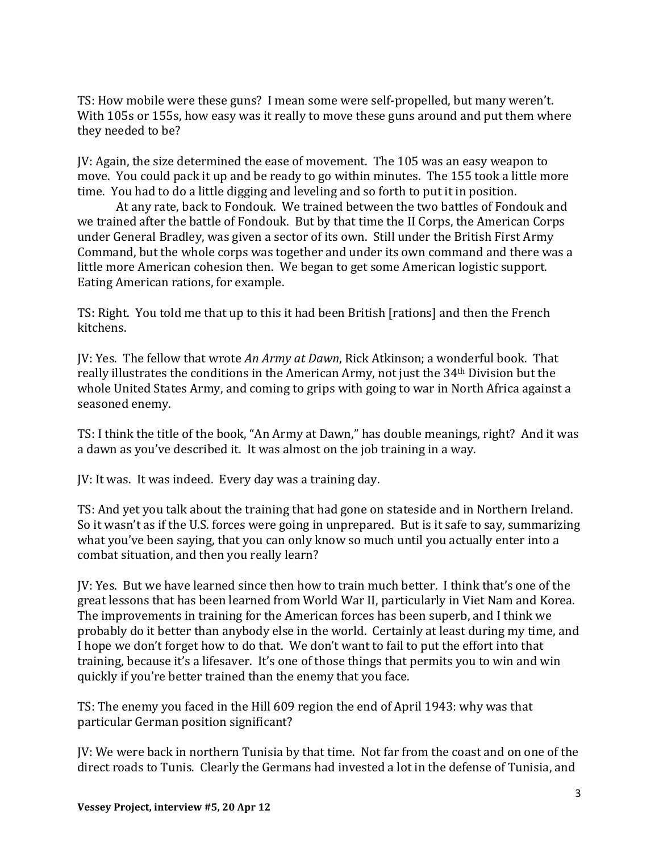TS: How mobile were these guns? I mean some were self-propelled, but many weren't. With 105s or 155s, how easy was it really to move these guns around and put them where they needed to be?

JV: Again, the size determined the ease of movement. The 105 was an easy weapon to move. You could pack it up and be ready to go within minutes. The 155 took a little more time. You had to do a little digging and leveling and so forth to put it in position.

At any rate, back to Fondouk. We trained between the two battles of Fondouk and we trained after the battle of Fondouk. But by that time the II Corps, the American Corps under General Bradley, was given a sector of its own. Still under the British First Army Command, but the whole corps was together and under its own command and there was a little more American cohesion then. We began to get some American logistic support. Eating American rations, for example.

TS: Right. You told me that up to this it had been British [rations] and then the French kitchens.

JV: Yes. The fellow that wrote *An Army at Dawn*, Rick Atkinson; a wonderful book. That really illustrates the conditions in the American Army, not just the 34th Division but the whole United States Army, and coming to grips with going to war in North Africa against a seasoned enemy.

TS: I think the title of the book, "An Army at Dawn," has double meanings, right? And it was a dawn as you've described it. It was almost on the job training in a way.

JV: It was. It was indeed. Every day was a training day.

TS: And yet you talk about the training that had gone on stateside and in Northern Ireland. So it wasn't as if the U.S. forces were going in unprepared. But is it safe to say, summarizing what you've been saying, that you can only know so much until you actually enter into a combat situation, and then you really learn?

JV: Yes. But we have learned since then how to train much better. I think that's one of the great lessons that has been learned from World War II, particularly in Viet Nam and Korea. The improvements in training for the American forces has been superb, and I think we probably do it better than anybody else in the world. Certainly at least during my time, and I hope we don't forget how to do that. We don't want to fail to put the effort into that training, because it's a lifesaver. It's one of those things that permits you to win and win quickly if you're better trained than the enemy that you face.

TS: The enemy you faced in the Hill 609 region the end of April 1943: why was that particular German position significant?

JV: We were back in northern Tunisia by that time. Not far from the coast and on one of the direct roads to Tunis. Clearly the Germans had invested a lot in the defense of Tunisia, and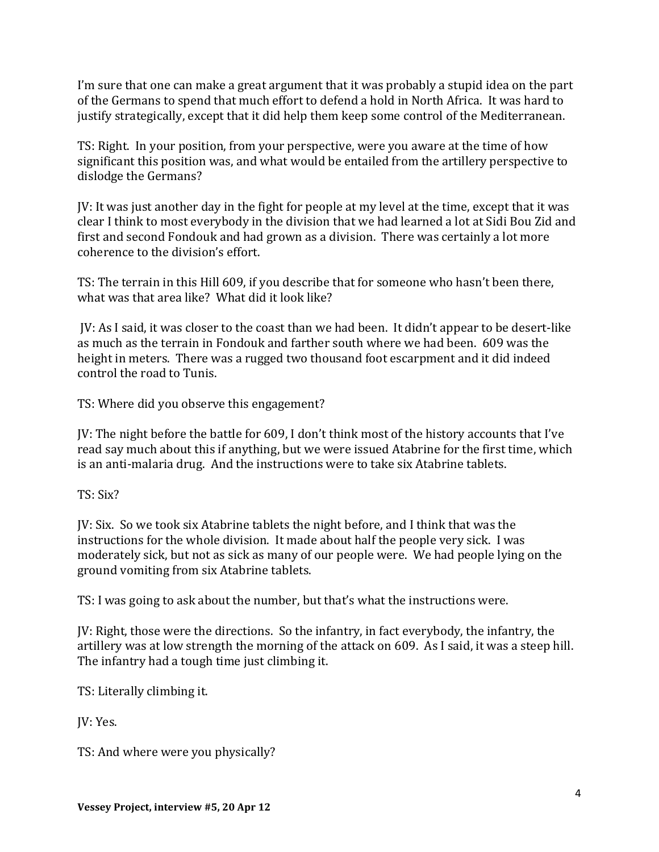I'm sure that one can make a great argument that it was probably a stupid idea on the part of the Germans to spend that much effort to defend a hold in North Africa. It was hard to justify strategically, except that it did help them keep some control of the Mediterranean.

TS: Right. In your position, from your perspective, were you aware at the time of how significant this position was, and what would be entailed from the artillery perspective to dislodge the Germans?

JV: It was just another day in the fight for people at my level at the time, except that it was clear I think to most everybody in the division that we had learned a lot at Sidi Bou Zid and first and second Fondouk and had grown as a division. There was certainly a lot more coherence to the division's effort.

TS: The terrain in this Hill 609, if you describe that for someone who hasn't been there, what was that area like? What did it look like?

JV: As I said, it was closer to the coast than we had been. It didn't appear to be desert-like as much as the terrain in Fondouk and farther south where we had been. 609 was the height in meters. There was a rugged two thousand foot escarpment and it did indeed control the road to Tunis.

TS: Where did you observe this engagement?

JV: The night before the battle for 609, I don't think most of the history accounts that I've read say much about this if anything, but we were issued Atabrine for the first time, which is an anti-malaria drug. And the instructions were to take six Atabrine tablets.

TS: Six?

JV: Six. So we took six Atabrine tablets the night before, and I think that was the instructions for the whole division. It made about half the people very sick. I was moderately sick, but not as sick as many of our people were. We had people lying on the ground vomiting from six Atabrine tablets.

TS: I was going to ask about the number, but that's what the instructions were.

JV: Right, those were the directions. So the infantry, in fact everybody, the infantry, the artillery was at low strength the morning of the attack on 609. As I said, it was a steep hill. The infantry had a tough time just climbing it.

TS: Literally climbing it.

JV: Yes.

TS: And where were you physically?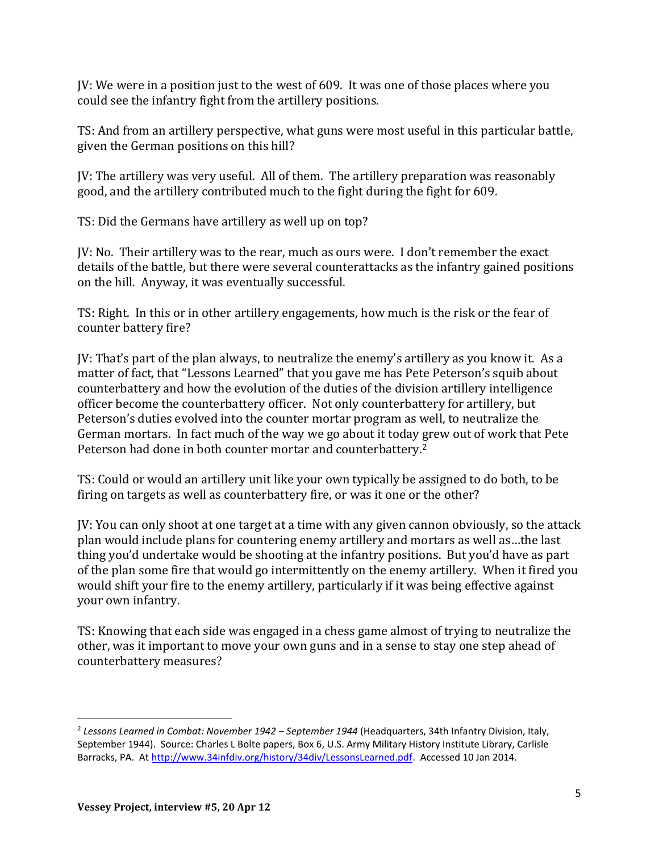JV: We were in a position just to the west of 609. It was one of those places where you could see the infantry fight from the artillery positions.

TS: And from an artillery perspective, what guns were most useful in this particular battle, given the German positions on this hill?

JV: The artillery was very useful. All of them. The artillery preparation was reasonably good, and the artillery contributed much to the fight during the fight for 609.

TS: Did the Germans have artillery as well up on top?

JV: No. Their artillery was to the rear, much as ours were. I don't remember the exact details of the battle, but there were several counterattacks as the infantry gained positions on the hill. Anyway, it was eventually successful.

TS: Right. In this or in other artillery engagements, how much is the risk or the fear of counter battery fire?

JV: That's part of the plan always, to neutralize the enemy's artillery as you know it. As a matter of fact, that "Lessons Learned" that you gave me has Pete Peterson's squib about counterbattery and how the evolution of the duties of the division artillery intelligence officer become the counterbattery officer. Not only counterbattery for artillery, but Peterson's duties evolved into the counter mortar program as well, to neutralize the German mortars. In fact much of the way we go about it today grew out of work that Pete Peterson had done in both counter mortar and counterbattery.<sup>2</sup>

TS: Could or would an artillery unit like your own typically be assigned to do both, to be firing on targets as well as counterbattery fire, or was it one or the other?

JV: You can only shoot at one target at a time with any given cannon obviously, so the attack plan would include plans for countering enemy artillery and mortars as well as…the last thing you'd undertake would be shooting at the infantry positions. But you'd have as part of the plan some fire that would go intermittently on the enemy artillery. When it fired you would shift your fire to the enemy artillery, particularly if it was being effective against your own infantry.

TS: Knowing that each side was engaged in a chess game almost of trying to neutralize the other, was it important to move your own guns and in a sense to stay one step ahead of counterbattery measures?

 $\overline{a}$ 

<sup>2</sup> *Lessons Learned in Combat: November 1942 – September 1944* (Headquarters, 34th Infantry Division, Italy, September 1944). Source: Charles L Bolte papers, Box 6, U.S. Army Military History Institute Library, Carlisle Barracks, PA. At [http://www.34infdiv.org/history/34div/LessonsLearned.pdf.](http://www.34infdiv.org/history/34div/LessonsLearned.pdf) Accessed 10 Jan 2014.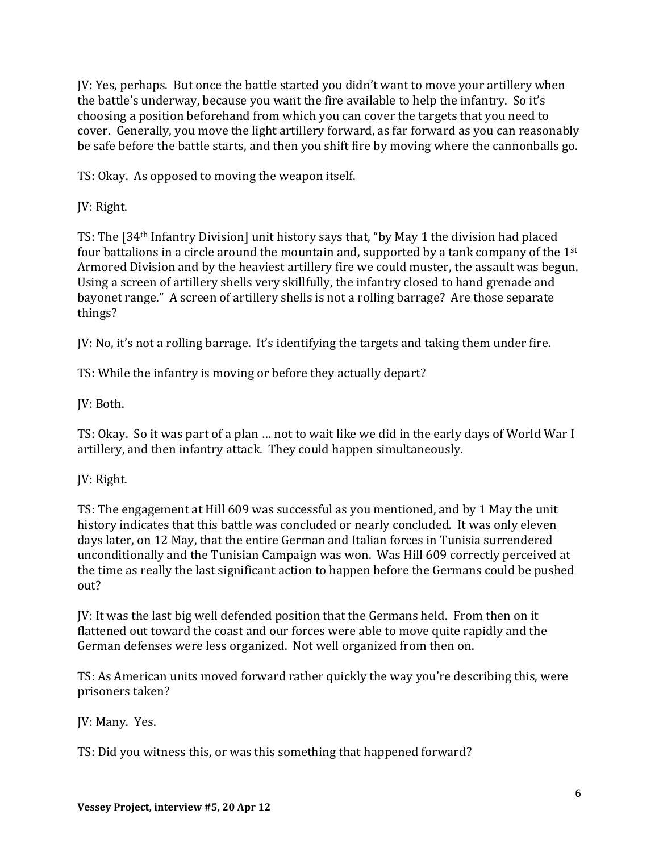JV: Yes, perhaps. But once the battle started you didn't want to move your artillery when the battle's underway, because you want the fire available to help the infantry. So it's choosing a position beforehand from which you can cover the targets that you need to cover. Generally, you move the light artillery forward, as far forward as you can reasonably be safe before the battle starts, and then you shift fire by moving where the cannonballs go.

TS: Okay. As opposed to moving the weapon itself.

JV: Right.

TS: The [34th Infantry Division] unit history says that, "by May 1 the division had placed four battalions in a circle around the mountain and, supported by a tank company of the 1st Armored Division and by the heaviest artillery fire we could muster, the assault was begun. Using a screen of artillery shells very skillfully, the infantry closed to hand grenade and bayonet range." A screen of artillery shells is not a rolling barrage? Are those separate things?

JV: No, it's not a rolling barrage. It's identifying the targets and taking them under fire.

TS: While the infantry is moving or before they actually depart?

JV: Both.

TS: Okay. So it was part of a plan … not to wait like we did in the early days of World War I artillery, and then infantry attack. They could happen simultaneously.

JV: Right.

TS: The engagement at Hill 609 was successful as you mentioned, and by 1 May the unit history indicates that this battle was concluded or nearly concluded. It was only eleven days later, on 12 May, that the entire German and Italian forces in Tunisia surrendered unconditionally and the Tunisian Campaign was won. Was Hill 609 correctly perceived at the time as really the last significant action to happen before the Germans could be pushed out?

JV: It was the last big well defended position that the Germans held. From then on it flattened out toward the coast and our forces were able to move quite rapidly and the German defenses were less organized. Not well organized from then on.

TS: As American units moved forward rather quickly the way you're describing this, were prisoners taken?

JV: Many. Yes.

TS: Did you witness this, or was this something that happened forward?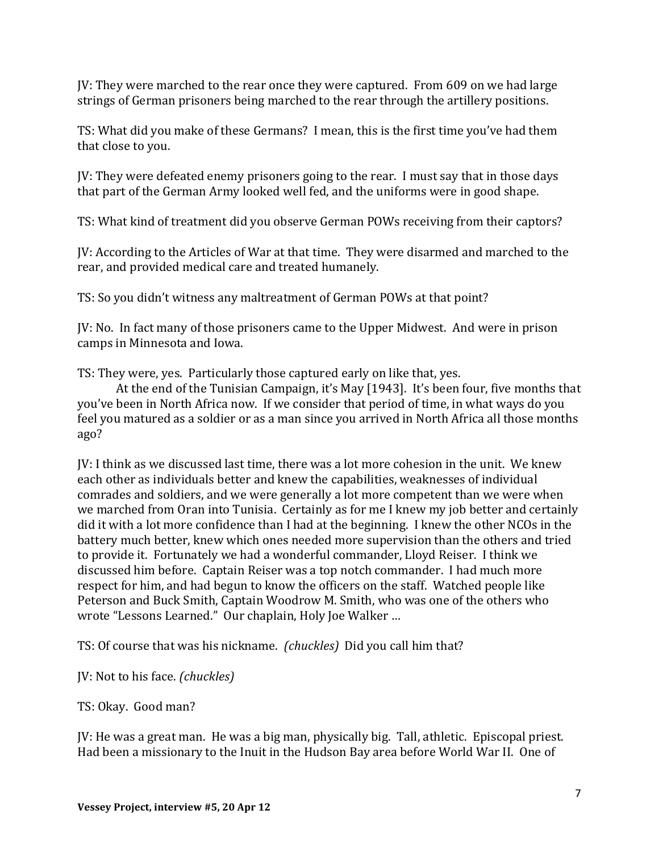JV: They were marched to the rear once they were captured. From 609 on we had large strings of German prisoners being marched to the rear through the artillery positions.

TS: What did you make of these Germans? I mean, this is the first time you've had them that close to you.

JV: They were defeated enemy prisoners going to the rear. I must say that in those days that part of the German Army looked well fed, and the uniforms were in good shape.

TS: What kind of treatment did you observe German POWs receiving from their captors?

JV: According to the Articles of War at that time. They were disarmed and marched to the rear, and provided medical care and treated humanely.

TS: So you didn't witness any maltreatment of German POWs at that point?

JV: No. In fact many of those prisoners came to the Upper Midwest. And were in prison camps in Minnesota and Iowa.

TS: They were, yes. Particularly those captured early on like that, yes.

At the end of the Tunisian Campaign, it's May [1943]. It's been four, five months that you've been in North Africa now. If we consider that period of time, in what ways do you feel you matured as a soldier or as a man since you arrived in North Africa all those months ago?

JV: I think as we discussed last time, there was a lot more cohesion in the unit. We knew each other as individuals better and knew the capabilities, weaknesses of individual comrades and soldiers, and we were generally a lot more competent than we were when we marched from Oran into Tunisia. Certainly as for me I knew my job better and certainly did it with a lot more confidence than I had at the beginning. I knew the other NCOs in the battery much better, knew which ones needed more supervision than the others and tried to provide it. Fortunately we had a wonderful commander, Lloyd Reiser. I think we discussed him before. Captain Reiser was a top notch commander. I had much more respect for him, and had begun to know the officers on the staff. Watched people like Peterson and Buck Smith, Captain Woodrow M. Smith, who was one of the others who wrote "Lessons Learned." Our chaplain, Holy Joe Walker …

TS: Of course that was his nickname. *(chuckles)* Did you call him that?

JV: Not to his face. *(chuckles)*

TS: Okay. Good man?

JV: He was a great man. He was a big man, physically big. Tall, athletic. Episcopal priest. Had been a missionary to the Inuit in the Hudson Bay area before World War II. One of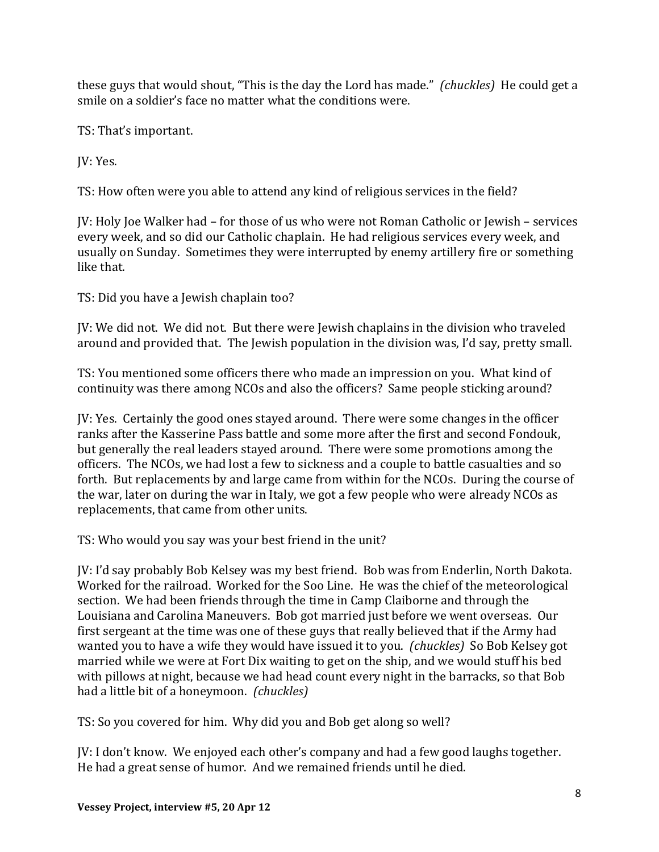these guys that would shout, "This is the day the Lord has made." *(chuckles)* He could get a smile on a soldier's face no matter what the conditions were.

TS: That's important.

JV: Yes.

TS: How often were you able to attend any kind of religious services in the field?

JV: Holy Joe Walker had – for those of us who were not Roman Catholic or Jewish – services every week, and so did our Catholic chaplain. He had religious services every week, and usually on Sunday. Sometimes they were interrupted by enemy artillery fire or something like that.

TS: Did you have a Jewish chaplain too?

JV: We did not. We did not. But there were Jewish chaplains in the division who traveled around and provided that. The Jewish population in the division was, I'd say, pretty small.

TS: You mentioned some officers there who made an impression on you. What kind of continuity was there among NCOs and also the officers? Same people sticking around?

JV: Yes. Certainly the good ones stayed around. There were some changes in the officer ranks after the Kasserine Pass battle and some more after the first and second Fondouk, but generally the real leaders stayed around. There were some promotions among the officers. The NCOs, we had lost a few to sickness and a couple to battle casualties and so forth. But replacements by and large came from within for the NCOs. During the course of the war, later on during the war in Italy, we got a few people who were already NCOs as replacements, that came from other units.

TS: Who would you say was your best friend in the unit?

JV: I'd say probably Bob Kelsey was my best friend. Bob was from Enderlin, North Dakota. Worked for the railroad. Worked for the Soo Line. He was the chief of the meteorological section. We had been friends through the time in Camp Claiborne and through the Louisiana and Carolina Maneuvers. Bob got married just before we went overseas. Our first sergeant at the time was one of these guys that really believed that if the Army had wanted you to have a wife they would have issued it to you. *(chuckles)* So Bob Kelsey got married while we were at Fort Dix waiting to get on the ship, and we would stuff his bed with pillows at night, because we had head count every night in the barracks, so that Bob had a little bit of a honeymoon. *(chuckles)*

TS: So you covered for him. Why did you and Bob get along so well?

JV: I don't know. We enjoyed each other's company and had a few good laughs together. He had a great sense of humor. And we remained friends until he died.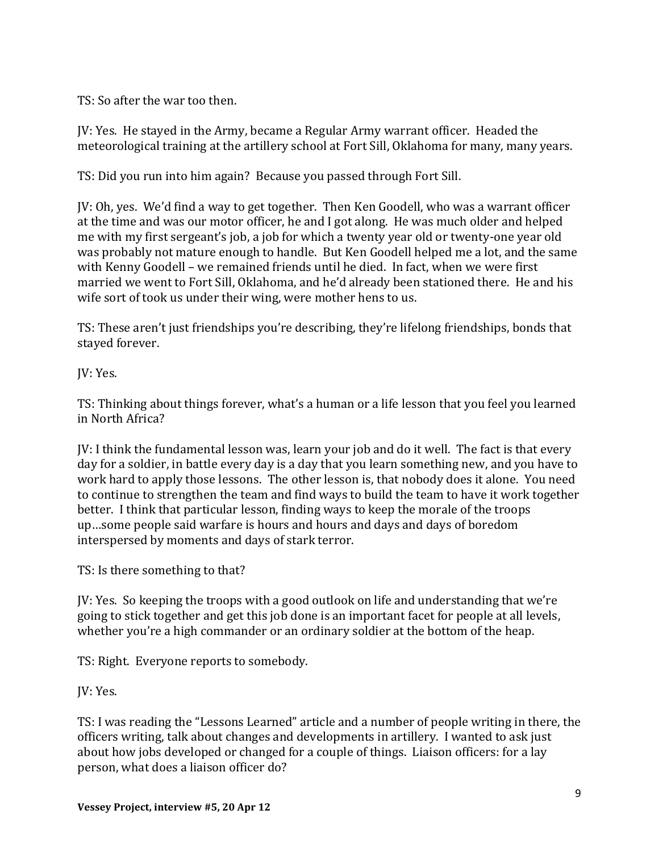TS: So after the war too then.

JV: Yes. He stayed in the Army, became a Regular Army warrant officer. Headed the meteorological training at the artillery school at Fort Sill, Oklahoma for many, many years.

TS: Did you run into him again? Because you passed through Fort Sill.

JV: Oh, yes. We'd find a way to get together. Then Ken Goodell, who was a warrant officer at the time and was our motor officer, he and I got along. He was much older and helped me with my first sergeant's job, a job for which a twenty year old or twenty-one year old was probably not mature enough to handle. But Ken Goodell helped me a lot, and the same with Kenny Goodell – we remained friends until he died. In fact, when we were first married we went to Fort Sill, Oklahoma, and he'd already been stationed there. He and his wife sort of took us under their wing, were mother hens to us.

TS: These aren't just friendships you're describing, they're lifelong friendships, bonds that stayed forever.

JV: Yes.

TS: Thinking about things forever, what's a human or a life lesson that you feel you learned in North Africa?

JV: I think the fundamental lesson was, learn your job and do it well. The fact is that every day for a soldier, in battle every day is a day that you learn something new, and you have to work hard to apply those lessons. The other lesson is, that nobody does it alone. You need to continue to strengthen the team and find ways to build the team to have it work together better. I think that particular lesson, finding ways to keep the morale of the troops up…some people said warfare is hours and hours and days and days of boredom interspersed by moments and days of stark terror.

TS: Is there something to that?

JV: Yes. So keeping the troops with a good outlook on life and understanding that we're going to stick together and get this job done is an important facet for people at all levels, whether you're a high commander or an ordinary soldier at the bottom of the heap.

TS: Right. Everyone reports to somebody.

JV: Yes.

TS: I was reading the "Lessons Learned" article and a number of people writing in there, the officers writing, talk about changes and developments in artillery. I wanted to ask just about how jobs developed or changed for a couple of things. Liaison officers: for a lay person, what does a liaison officer do?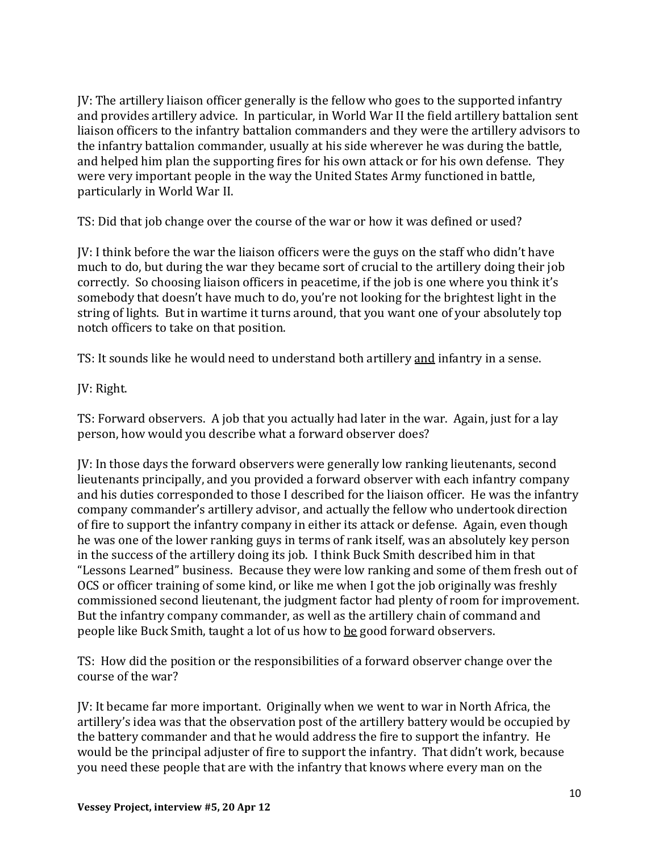JV: The artillery liaison officer generally is the fellow who goes to the supported infantry and provides artillery advice. In particular, in World War II the field artillery battalion sent liaison officers to the infantry battalion commanders and they were the artillery advisors to the infantry battalion commander, usually at his side wherever he was during the battle, and helped him plan the supporting fires for his own attack or for his own defense. They were very important people in the way the United States Army functioned in battle, particularly in World War II.

TS: Did that job change over the course of the war or how it was defined or used?

JV: I think before the war the liaison officers were the guys on the staff who didn't have much to do, but during the war they became sort of crucial to the artillery doing their job correctly. So choosing liaison officers in peacetime, if the job is one where you think it's somebody that doesn't have much to do, you're not looking for the brightest light in the string of lights. But in wartime it turns around, that you want one of your absolutely top notch officers to take on that position.

TS: It sounds like he would need to understand both artillery and infantry in a sense.

JV: Right.

TS: Forward observers. A job that you actually had later in the war. Again, just for a lay person, how would you describe what a forward observer does?

JV: In those days the forward observers were generally low ranking lieutenants, second lieutenants principally, and you provided a forward observer with each infantry company and his duties corresponded to those I described for the liaison officer. He was the infantry company commander's artillery advisor, and actually the fellow who undertook direction of fire to support the infantry company in either its attack or defense. Again, even though he was one of the lower ranking guys in terms of rank itself, was an absolutely key person in the success of the artillery doing its job. I think Buck Smith described him in that "Lessons Learned" business. Because they were low ranking and some of them fresh out of OCS or officer training of some kind, or like me when I got the job originally was freshly commissioned second lieutenant, the judgment factor had plenty of room for improvement. But the infantry company commander, as well as the artillery chain of command and people like Buck Smith, taught a lot of us how to be good forward observers.

TS: How did the position or the responsibilities of a forward observer change over the course of the war?

JV: It became far more important. Originally when we went to war in North Africa, the artillery's idea was that the observation post of the artillery battery would be occupied by the battery commander and that he would address the fire to support the infantry. He would be the principal adjuster of fire to support the infantry. That didn't work, because you need these people that are with the infantry that knows where every man on the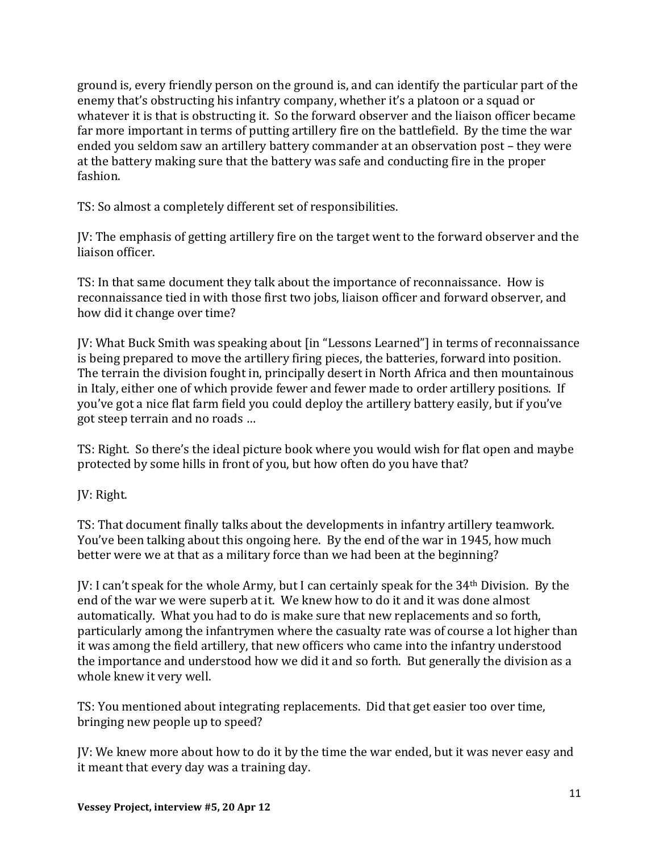ground is, every friendly person on the ground is, and can identify the particular part of the enemy that's obstructing his infantry company, whether it's a platoon or a squad or whatever it is that is obstructing it. So the forward observer and the liaison officer became far more important in terms of putting artillery fire on the battlefield. By the time the war ended you seldom saw an artillery battery commander at an observation post – they were at the battery making sure that the battery was safe and conducting fire in the proper fashion.

TS: So almost a completely different set of responsibilities.

JV: The emphasis of getting artillery fire on the target went to the forward observer and the liaison officer.

TS: In that same document they talk about the importance of reconnaissance. How is reconnaissance tied in with those first two jobs, liaison officer and forward observer, and how did it change over time?

JV: What Buck Smith was speaking about [in "Lessons Learned"] in terms of reconnaissance is being prepared to move the artillery firing pieces, the batteries, forward into position. The terrain the division fought in, principally desert in North Africa and then mountainous in Italy, either one of which provide fewer and fewer made to order artillery positions. If you've got a nice flat farm field you could deploy the artillery battery easily, but if you've got steep terrain and no roads …

TS: Right. So there's the ideal picture book where you would wish for flat open and maybe protected by some hills in front of you, but how often do you have that?

JV: Right.

TS: That document finally talks about the developments in infantry artillery teamwork. You've been talking about this ongoing here. By the end of the war in 1945, how much better were we at that as a military force than we had been at the beginning?

JV: I can't speak for the whole Army, but I can certainly speak for the 34th Division. By the end of the war we were superb at it. We knew how to do it and it was done almost automatically. What you had to do is make sure that new replacements and so forth, particularly among the infantrymen where the casualty rate was of course a lot higher than it was among the field artillery, that new officers who came into the infantry understood the importance and understood how we did it and so forth. But generally the division as a whole knew it very well.

TS: You mentioned about integrating replacements. Did that get easier too over time, bringing new people up to speed?

JV: We knew more about how to do it by the time the war ended, but it was never easy and it meant that every day was a training day.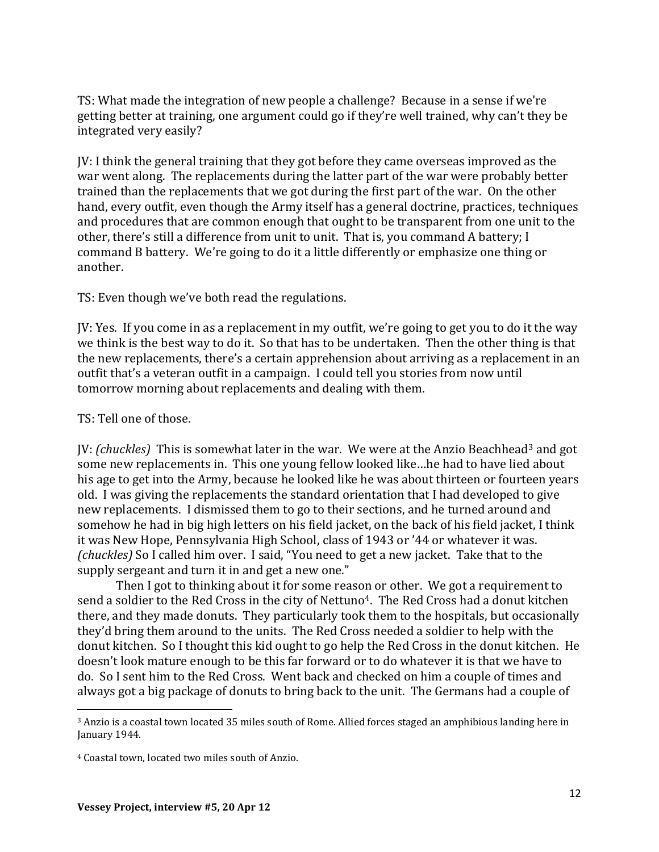TS: What made the integration of new people a challenge? Because in a sense if we're getting better at training, one argument could go if they're well trained, why can't they be integrated very easily?

JV: I think the general training that they got before they came overseas improved as the war went along. The replacements during the latter part of the war were probably better trained than the replacements that we got during the first part of the war. On the other hand, every outfit, even though the Army itself has a general doctrine, practices, techniques and procedures that are common enough that ought to be transparent from one unit to the other, there's still a difference from unit to unit. That is, you command A battery; I command B battery. We're going to do it a little differently or emphasize one thing or another.

TS: Even though we've both read the regulations.

JV: Yes. If you come in as a replacement in my outfit, we're going to get you to do it the way we think is the best way to do it. So that has to be undertaken. Then the other thing is that the new replacements, there's a certain apprehension about arriving as a replacement in an outfit that's a veteran outfit in a campaign. I could tell you stories from now until tomorrow morning about replacements and dealing with them.

TS: Tell one of those.

 $\overline{a}$ 

JV: *(chuckles)* This is somewhat later in the war. We were at the Anzio Beachhead<sup>3</sup> and got some new replacements in. This one young fellow looked like…he had to have lied about his age to get into the Army, because he looked like he was about thirteen or fourteen years old. I was giving the replacements the standard orientation that I had developed to give new replacements. I dismissed them to go to their sections, and he turned around and somehow he had in big high letters on his field jacket, on the back of his field jacket, I think it was New Hope, Pennsylvania High School, class of 1943 or '44 or whatever it was. *(chuckles)* So I called him over. I said, "You need to get a new jacket. Take that to the supply sergeant and turn it in and get a new one."

Then I got to thinking about it for some reason or other. We got a requirement to send a soldier to the Red Cross in the city of Nettuno<sup>4</sup>. The Red Cross had a donut kitchen there, and they made donuts. They particularly took them to the hospitals, but occasionally they'd bring them around to the units. The Red Cross needed a soldier to help with the donut kitchen. So I thought this kid ought to go help the Red Cross in the donut kitchen. He doesn't look mature enough to be this far forward or to do whatever it is that we have to do. So I sent him to the Red Cross. Went back and checked on him a couple of times and always got a big package of donuts to bring back to the unit. The Germans had a couple of

<sup>3</sup> Anzio is a coastal town located 35 miles south of Rome. Allied forces staged an amphibious landing here in January 1944.

<sup>4</sup> Coastal town, located two miles south of Anzio.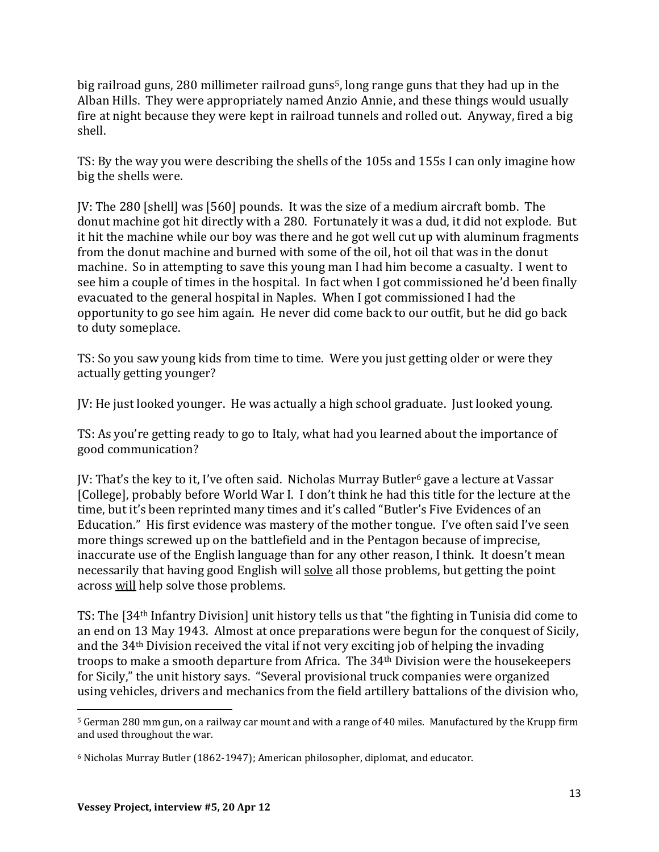big railroad guns, 280 millimeter railroad guns<sup>5</sup>, long range guns that they had up in the Alban Hills. They were appropriately named Anzio Annie, and these things would usually fire at night because they were kept in railroad tunnels and rolled out. Anyway, fired a big shell.

TS: By the way you were describing the shells of the 105s and 155s I can only imagine how big the shells were.

JV: The 280 [shell] was [560] pounds. It was the size of a medium aircraft bomb. The donut machine got hit directly with a 280. Fortunately it was a dud, it did not explode. But it hit the machine while our boy was there and he got well cut up with aluminum fragments from the donut machine and burned with some of the oil, hot oil that was in the donut machine. So in attempting to save this young man I had him become a casualty. I went to see him a couple of times in the hospital. In fact when I got commissioned he'd been finally evacuated to the general hospital in Naples. When I got commissioned I had the opportunity to go see him again. He never did come back to our outfit, but he did go back to duty someplace.

TS: So you saw young kids from time to time. Were you just getting older or were they actually getting younger?

JV: He just looked younger. He was actually a high school graduate. Just looked young.

TS: As you're getting ready to go to Italy, what had you learned about the importance of good communication?

JV: That's the key to it, I've often said. Nicholas Murray Butler<sup>6</sup> gave a lecture at Vassar [College], probably before World War I. I don't think he had this title for the lecture at the time, but it's been reprinted many times and it's called "Butler's Five Evidences of an Education." His first evidence was mastery of the mother tongue. I've often said I've seen more things screwed up on the battlefield and in the Pentagon because of imprecise, inaccurate use of the English language than for any other reason, I think. It doesn't mean necessarily that having good English will solve all those problems, but getting the point across will help solve those problems.

TS: The [34th Infantry Division] unit history tells us that "the fighting in Tunisia did come to an end on 13 May 1943. Almost at once preparations were begun for the conquest of Sicily, and the 34th Division received the vital if not very exciting job of helping the invading troops to make a smooth departure from Africa. The 34th Division were the housekeepers for Sicily," the unit history says. "Several provisional truck companies were organized using vehicles, drivers and mechanics from the field artillery battalions of the division who,

 $\overline{a}$ 

<sup>5</sup> German 280 mm gun, on a railway car mount and with a range of 40 miles. Manufactured by the Krupp firm and used throughout the war.

<sup>6</sup> Nicholas Murray Butler (1862-1947); American philosopher, diplomat, and educator.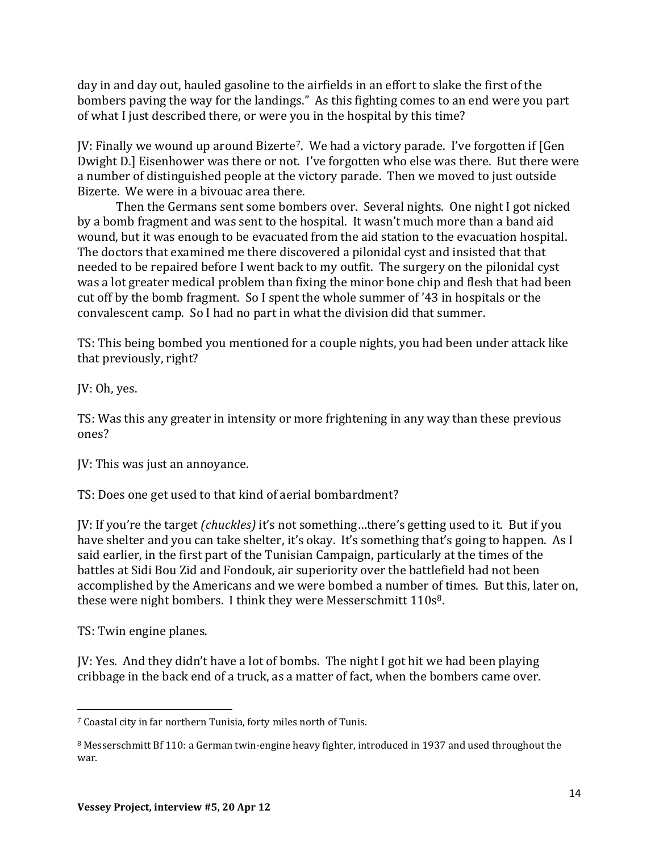day in and day out, hauled gasoline to the airfields in an effort to slake the first of the bombers paving the way for the landings." As this fighting comes to an end were you part of what I just described there, or were you in the hospital by this time?

JV: Finally we wound up around Bizerte7. We had a victory parade. I've forgotten if [Gen Dwight D.] Eisenhower was there or not. I've forgotten who else was there. But there were a number of distinguished people at the victory parade. Then we moved to just outside Bizerte. We were in a bivouac area there.

Then the Germans sent some bombers over. Several nights. One night I got nicked by a bomb fragment and was sent to the hospital. It wasn't much more than a band aid wound, but it was enough to be evacuated from the aid station to the evacuation hospital. The doctors that examined me there discovered a pilonidal cyst and insisted that that needed to be repaired before I went back to my outfit. The surgery on the pilonidal cyst was a lot greater medical problem than fixing the minor bone chip and flesh that had been cut off by the bomb fragment. So I spent the whole summer of '43 in hospitals or the convalescent camp. So I had no part in what the division did that summer.

TS: This being bombed you mentioned for a couple nights, you had been under attack like that previously, right?

JV: Oh, yes.

TS: Was this any greater in intensity or more frightening in any way than these previous ones?

JV: This was just an annoyance.

TS: Does one get used to that kind of aerial bombardment?

JV: If you're the target *(chuckles)* it's not something…there's getting used to it. But if you have shelter and you can take shelter, it's okay. It's something that's going to happen. As I said earlier, in the first part of the Tunisian Campaign, particularly at the times of the battles at Sidi Bou Zid and Fondouk, air superiority over the battlefield had not been accomplished by the Americans and we were bombed a number of times. But this, later on, these were night bombers. I think they were Messerschmitt 110s<sup>8</sup>.

TS: Twin engine planes.

JV: Yes. And they didn't have a lot of bombs. The night I got hit we had been playing cribbage in the back end of a truck, as a matter of fact, when the bombers came over.

 $\overline{a}$ <sup>7</sup> Coastal city in far northern Tunisia, forty miles north of Tunis.

<sup>8</sup> Messerschmitt Bf 110: a German twin-engine heavy fighter, introduced in 1937 and used throughout the war.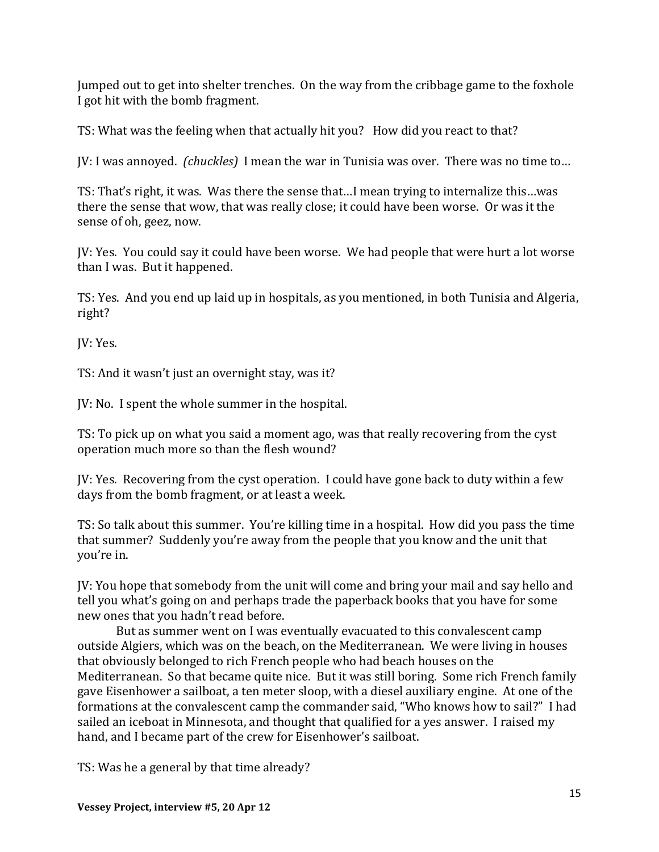Jumped out to get into shelter trenches. On the way from the cribbage game to the foxhole I got hit with the bomb fragment.

TS: What was the feeling when that actually hit you? How did you react to that?

JV: I was annoyed. *(chuckles)* I mean the war in Tunisia was over. There was no time to…

TS: That's right, it was. Was there the sense that…I mean trying to internalize this…was there the sense that wow, that was really close; it could have been worse. Or was it the sense of oh, geez, now.

JV: Yes. You could say it could have been worse. We had people that were hurt a lot worse than I was. But it happened.

TS: Yes. And you end up laid up in hospitals, as you mentioned, in both Tunisia and Algeria, right?

JV: Yes.

TS: And it wasn't just an overnight stay, was it?

JV: No. I spent the whole summer in the hospital.

TS: To pick up on what you said a moment ago, was that really recovering from the cyst operation much more so than the flesh wound?

JV: Yes. Recovering from the cyst operation. I could have gone back to duty within a few days from the bomb fragment, or at least a week.

TS: So talk about this summer. You're killing time in a hospital. How did you pass the time that summer? Suddenly you're away from the people that you know and the unit that you're in.

JV: You hope that somebody from the unit will come and bring your mail and say hello and tell you what's going on and perhaps trade the paperback books that you have for some new ones that you hadn't read before.

But as summer went on I was eventually evacuated to this convalescent camp outside Algiers, which was on the beach, on the Mediterranean. We were living in houses that obviously belonged to rich French people who had beach houses on the Mediterranean. So that became quite nice. But it was still boring. Some rich French family gave Eisenhower a sailboat, a ten meter sloop, with a diesel auxiliary engine. At one of the formations at the convalescent camp the commander said, "Who knows how to sail?" I had sailed an iceboat in Minnesota, and thought that qualified for a yes answer. I raised my hand, and I became part of the crew for Eisenhower's sailboat.

TS: Was he a general by that time already?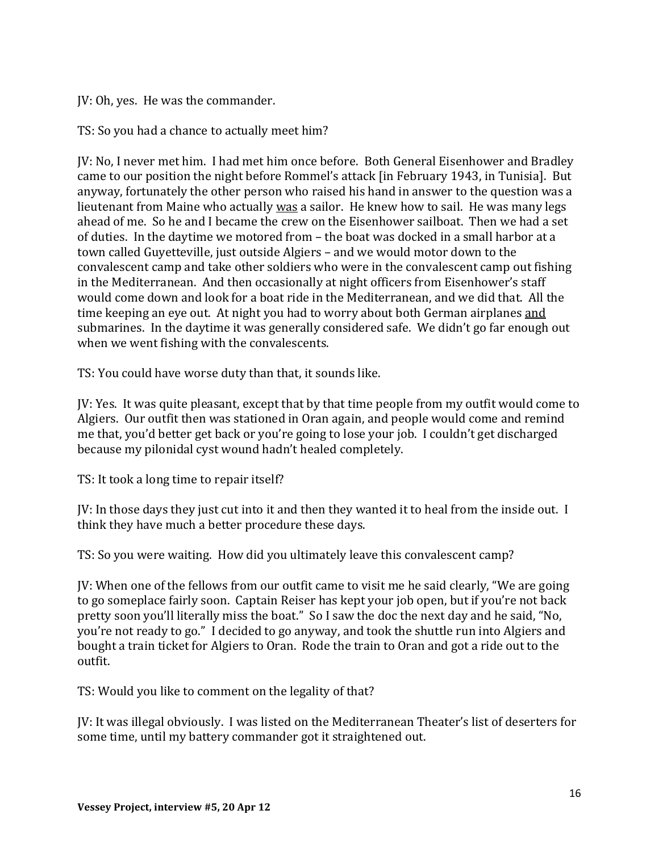JV: Oh, yes. He was the commander.

TS: So you had a chance to actually meet him?

JV: No, I never met him. I had met him once before. Both General Eisenhower and Bradley came to our position the night before Rommel's attack [in February 1943, in Tunisia]. But anyway, fortunately the other person who raised his hand in answer to the question was a lieutenant from Maine who actually was a sailor. He knew how to sail. He was many legs ahead of me. So he and I became the crew on the Eisenhower sailboat. Then we had a set of duties. In the daytime we motored from – the boat was docked in a small harbor at a town called Guyetteville, just outside Algiers – and we would motor down to the convalescent camp and take other soldiers who were in the convalescent camp out fishing in the Mediterranean. And then occasionally at night officers from Eisenhower's staff would come down and look for a boat ride in the Mediterranean, and we did that. All the time keeping an eye out. At night you had to worry about both German airplanes and submarines. In the daytime it was generally considered safe. We didn't go far enough out when we went fishing with the convalescents.

TS: You could have worse duty than that, it sounds like.

JV: Yes. It was quite pleasant, except that by that time people from my outfit would come to Algiers. Our outfit then was stationed in Oran again, and people would come and remind me that, you'd better get back or you're going to lose your job. I couldn't get discharged because my pilonidal cyst wound hadn't healed completely.

TS: It took a long time to repair itself?

JV: In those days they just cut into it and then they wanted it to heal from the inside out. I think they have much a better procedure these days.

TS: So you were waiting. How did you ultimately leave this convalescent camp?

JV: When one of the fellows from our outfit came to visit me he said clearly, "We are going to go someplace fairly soon. Captain Reiser has kept your job open, but if you're not back pretty soon you'll literally miss the boat." So I saw the doc the next day and he said, "No, you're not ready to go." I decided to go anyway, and took the shuttle run into Algiers and bought a train ticket for Algiers to Oran. Rode the train to Oran and got a ride out to the outfit.

TS: Would you like to comment on the legality of that?

JV: It was illegal obviously. I was listed on the Mediterranean Theater's list of deserters for some time, until my battery commander got it straightened out.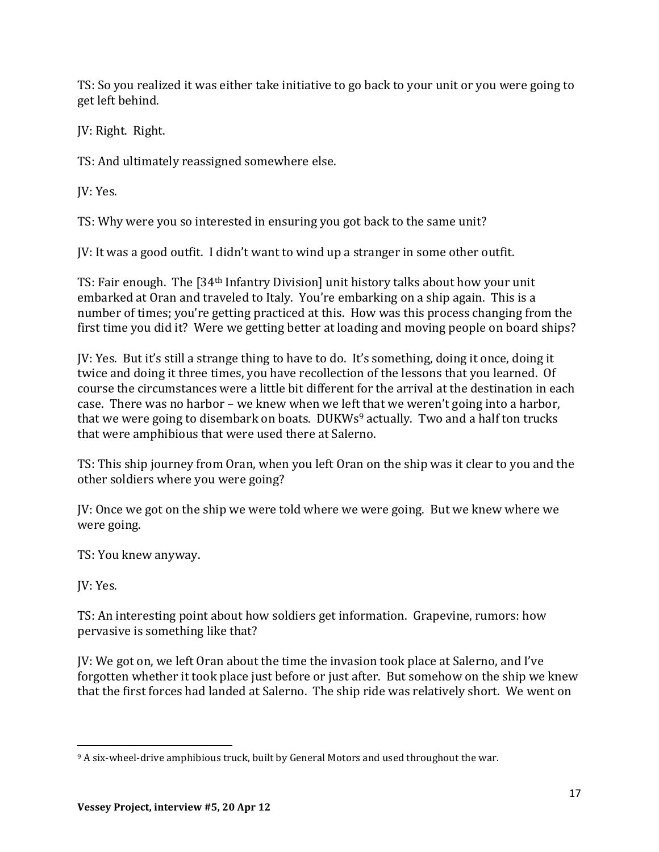TS: So you realized it was either take initiative to go back to your unit or you were going to get left behind.

JV: Right. Right.

TS: And ultimately reassigned somewhere else.

JV: Yes.

TS: Why were you so interested in ensuring you got back to the same unit?

JV: It was a good outfit. I didn't want to wind up a stranger in some other outfit.

TS: Fair enough. The [34th Infantry Division] unit history talks about how your unit embarked at Oran and traveled to Italy. You're embarking on a ship again. This is a number of times; you're getting practiced at this. How was this process changing from the first time you did it? Were we getting better at loading and moving people on board ships?

JV: Yes. But it's still a strange thing to have to do. It's something, doing it once, doing it twice and doing it three times, you have recollection of the lessons that you learned. Of course the circumstances were a little bit different for the arrival at the destination in each case. There was no harbor – we knew when we left that we weren't going into a harbor, that we were going to disembark on boats. DUKWs<sup>9</sup> actually. Two and a half ton trucks that were amphibious that were used there at Salerno.

TS: This ship journey from Oran, when you left Oran on the ship was it clear to you and the other soldiers where you were going?

JV: Once we got on the ship we were told where we were going. But we knew where we were going.

TS: You knew anyway.

JV: Yes.

l

TS: An interesting point about how soldiers get information. Grapevine, rumors: how pervasive is something like that?

JV: We got on, we left Oran about the time the invasion took place at Salerno, and I've forgotten whether it took place just before or just after. But somehow on the ship we knew that the first forces had landed at Salerno. The ship ride was relatively short. We went on

<sup>9</sup> A six-wheel-drive amphibious truck, built by General Motors and used throughout the war.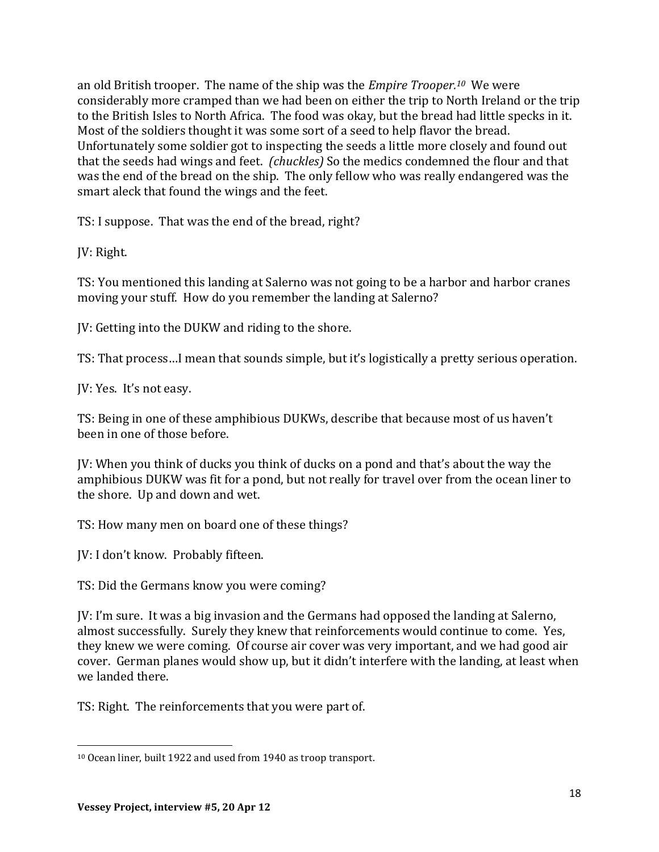an old British trooper. The name of the ship was the *Empire Trooper.<sup>10</sup>* We were considerably more cramped than we had been on either the trip to North Ireland or the trip to the British Isles to North Africa. The food was okay, but the bread had little specks in it. Most of the soldiers thought it was some sort of a seed to help flavor the bread. Unfortunately some soldier got to inspecting the seeds a little more closely and found out that the seeds had wings and feet. *(chuckles)* So the medics condemned the flour and that was the end of the bread on the ship. The only fellow who was really endangered was the smart aleck that found the wings and the feet.

TS: I suppose. That was the end of the bread, right?

JV: Right.

TS: You mentioned this landing at Salerno was not going to be a harbor and harbor cranes moving your stuff. How do you remember the landing at Salerno?

JV: Getting into the DUKW and riding to the shore.

TS: That process…I mean that sounds simple, but it's logistically a pretty serious operation.

JV: Yes. It's not easy.

TS: Being in one of these amphibious DUKWs, describe that because most of us haven't been in one of those before.

JV: When you think of ducks you think of ducks on a pond and that's about the way the amphibious DUKW was fit for a pond, but not really for travel over from the ocean liner to the shore. Up and down and wet.

TS: How many men on board one of these things?

JV: I don't know. Probably fifteen.

TS: Did the Germans know you were coming?

JV: I'm sure. It was a big invasion and the Germans had opposed the landing at Salerno, almost successfully. Surely they knew that reinforcements would continue to come. Yes, they knew we were coming. Of course air cover was very important, and we had good air cover. German planes would show up, but it didn't interfere with the landing, at least when we landed there.

TS: Right. The reinforcements that you were part of.

l

<sup>10</sup> Ocean liner, built 1922 and used from 1940 as troop transport.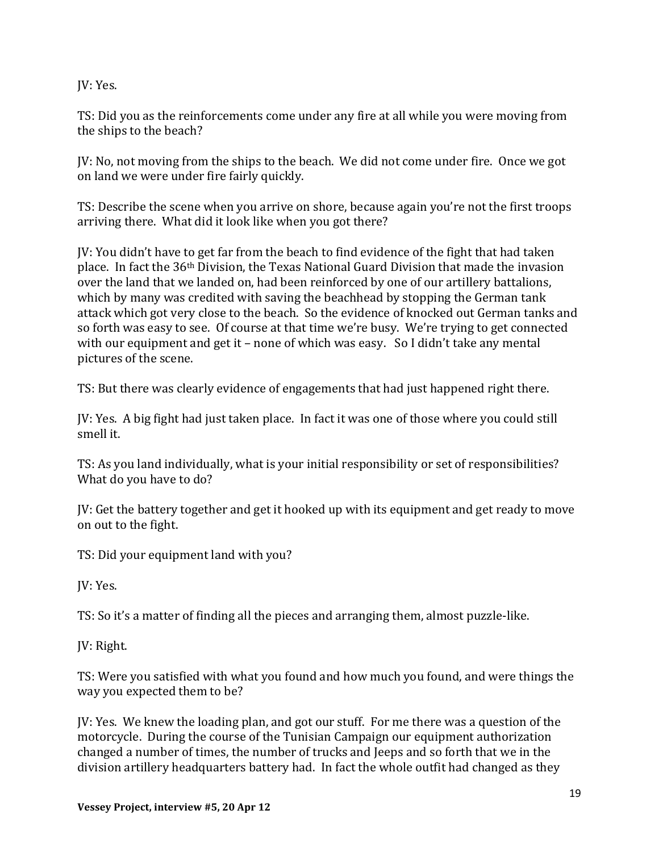JV: Yes.

TS: Did you as the reinforcements come under any fire at all while you were moving from the ships to the beach?

JV: No, not moving from the ships to the beach. We did not come under fire. Once we got on land we were under fire fairly quickly.

TS: Describe the scene when you arrive on shore, because again you're not the first troops arriving there. What did it look like when you got there?

JV: You didn't have to get far from the beach to find evidence of the fight that had taken place. In fact the 36th Division, the Texas National Guard Division that made the invasion over the land that we landed on, had been reinforced by one of our artillery battalions, which by many was credited with saving the beachhead by stopping the German tank attack which got very close to the beach. So the evidence of knocked out German tanks and so forth was easy to see. Of course at that time we're busy. We're trying to get connected with our equipment and get it – none of which was easy. So I didn't take any mental pictures of the scene.

TS: But there was clearly evidence of engagements that had just happened right there.

JV: Yes. A big fight had just taken place. In fact it was one of those where you could still smell it.

TS: As you land individually, what is your initial responsibility or set of responsibilities? What do you have to do?

JV: Get the battery together and get it hooked up with its equipment and get ready to move on out to the fight.

TS: Did your equipment land with you?

JV: Yes.

TS: So it's a matter of finding all the pieces and arranging them, almost puzzle-like.

JV: Right.

TS: Were you satisfied with what you found and how much you found, and were things the way you expected them to be?

JV: Yes. We knew the loading plan, and got our stuff. For me there was a question of the motorcycle. During the course of the Tunisian Campaign our equipment authorization changed a number of times, the number of trucks and Jeeps and so forth that we in the division artillery headquarters battery had. In fact the whole outfit had changed as they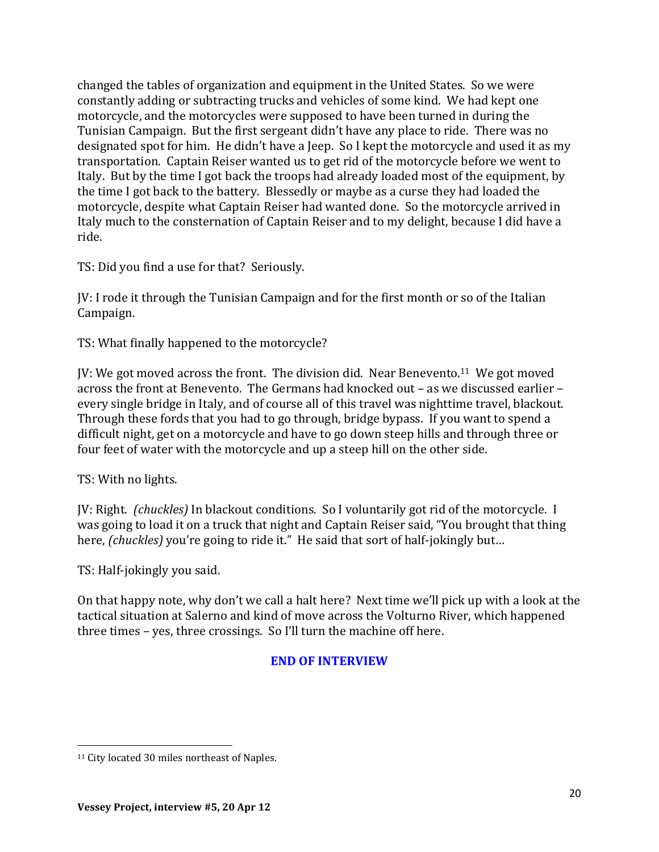changed the tables of organization and equipment in the United States. So we were constantly adding or subtracting trucks and vehicles of some kind. We had kept one motorcycle, and the motorcycles were supposed to have been turned in during the Tunisian Campaign. But the first sergeant didn't have any place to ride. There was no designated spot for him. He didn't have a Jeep. So I kept the motorcycle and used it as my transportation. Captain Reiser wanted us to get rid of the motorcycle before we went to Italy. But by the time I got back the troops had already loaded most of the equipment, by the time I got back to the battery. Blessedly or maybe as a curse they had loaded the motorcycle, despite what Captain Reiser had wanted done. So the motorcycle arrived in Italy much to the consternation of Captain Reiser and to my delight, because I did have a ride.

TS: Did you find a use for that? Seriously.

JV: I rode it through the Tunisian Campaign and for the first month or so of the Italian Campaign.

TS: What finally happened to the motorcycle?

JV: We got moved across the front. The division did. Near Benevento.11 We got moved across the front at Benevento. The Germans had knocked out – as we discussed earlier – every single bridge in Italy, and of course all of this travel was nighttime travel, blackout. Through these fords that you had to go through, bridge bypass. If you want to spend a difficult night, get on a motorcycle and have to go down steep hills and through three or four feet of water with the motorcycle and up a steep hill on the other side.

TS: With no lights.

l

JV: Right. *(chuckles)* In blackout conditions. So I voluntarily got rid of the motorcycle. I was going to load it on a truck that night and Captain Reiser said, "You brought that thing here, *(chuckles)* you're going to ride it." He said that sort of half-jokingly but…

TS: Half-jokingly you said.

On that happy note, why don't we call a halt here? Next time we'll pick up with a look at the tactical situation at Salerno and kind of move across the Volturno River, which happened three times – yes, three crossings. So I'll turn the machine off here.

## **END OF INTERVIEW**

<sup>&</sup>lt;sup>11</sup> City located 30 miles northeast of Naples.